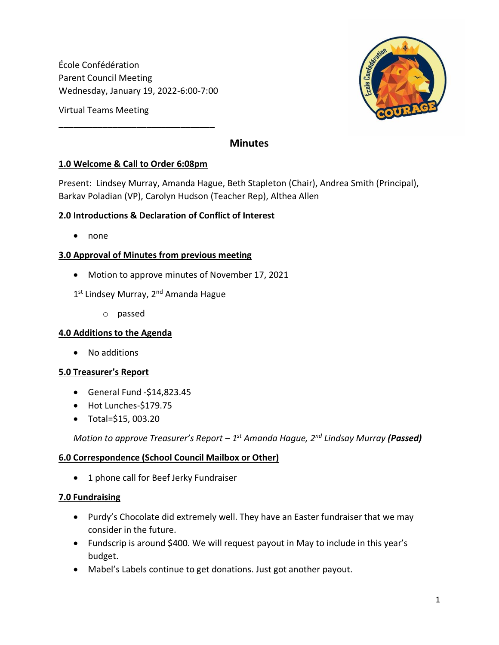École Confédération Parent Council Meeting Wednesday, January 19, 2022-6:00-7:00

\_\_\_\_\_\_\_\_\_\_\_\_\_\_\_\_\_\_\_\_\_\_\_\_\_\_\_\_\_\_\_\_

Virtual Teams Meeting

# **Minutes**

### **1.0 Welcome & Call to Order 6:08pm**

Present: Lindsey Murray, Amanda Hague, Beth Stapleton (Chair), Andrea Smith (Principal), Barkav Poladian (VP), Carolyn Hudson (Teacher Rep), Althea Allen

### **2.0 Introductions & Declaration of Conflict of Interest**

• none

## **3.0 Approval of Minutes from previous meeting**

- Motion to approve minutes of November 17, 2021
- 1<sup>st</sup> Lindsey Murray, 2<sup>nd</sup> Amanda Hague
	- o passed

### **4.0 Additions to the Agenda**

• No additions

### **5.0 Treasurer's Report**

- General Fund -\$14,823.45
- Hot Lunches-\$179.75
- Total=\$15, 003.20

*Motion to approve Treasurer's Report – 1 st Amanda Hague, 2nd Lindsay Murray (Passed)*

### **6.0 Correspondence (School Council Mailbox or Other)**

• 1 phone call for Beef Jerky Fundraiser

### **7.0 Fundraising**

- Purdy's Chocolate did extremely well. They have an Easter fundraiser that we may consider in the future.
- Fundscrip is around \$400. We will request payout in May to include in this year's budget.
- Mabel's Labels continue to get donations. Just got another payout.